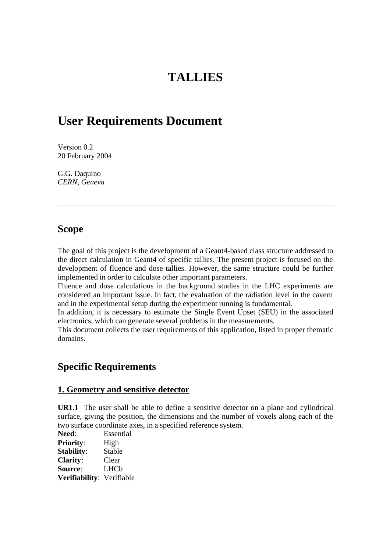# **TALLIES**

## **User Requirements Document**

Version 0.2 20 February 2004

G.G. Daquino *CERN, Geneva*

### **Scope**

The goal of this project is the development of a Geant4-based class structure addressed to the direct calculation in Geant4 of specific tallies. The present project is focused on the development of fluence and dose tallies. However, the same structure could be further implemented in order to calculate other important parameters.

Fluence and dose calculations in the background studies in the LHC experiments are considered an important issue. In fact, the evaluation of the radiation level in the cavern and in the experimental setup during the experiment running is fundamental.

In addition, it is necessary to estimate the Single Event Upset (SEU) in the associated electronics, which can generate several problems in the measurements.

This document collects the user requirements of this application, listed in proper thematic domains.

## **Specific Requirements**

#### **1. Geometry and sensitive detector**

**UR1.1** The user shall be able to define a sensitive detector on a plane and cylindrical surface, giving the position, the dimensions and the number of voxels along each of the two surface coordinate axes, in a specified reference system.

**Need**: Essential Priority: High **Stability**: Stable **Clarity**: Clear **Source**: LHCb **Verifiability**: Verifiable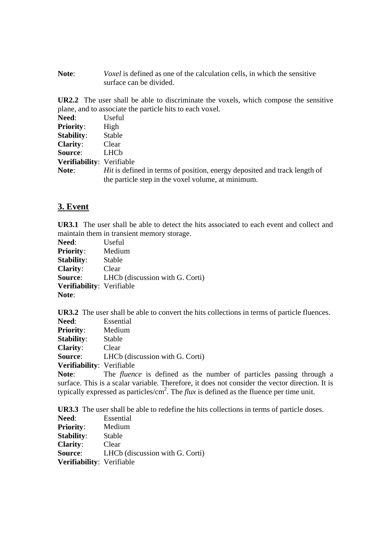**Note**: *Voxel* is defined as one of the calculation cells, in which the sensitive surface can be divided.

**UR2.2** The user shall be able to discriminate the voxels, which compose the sensitive plane, and to associate the particle hits to each voxel.

| Need:                     | Useful                                                                                                                                 |
|---------------------------|----------------------------------------------------------------------------------------------------------------------------------------|
| <b>Priority:</b>          | High                                                                                                                                   |
| <b>Stability:</b>         | Stable                                                                                                                                 |
| <b>Clarity:</b>           | Clear                                                                                                                                  |
| Source:                   | <b>LHCb</b>                                                                                                                            |
| Verifiability: Verifiable |                                                                                                                                        |
| Note:                     | <i>Hit</i> is defined in terms of position, energy deposited and track length of<br>the particle step in the voxel volume, at minimum. |

#### **3. Event**

**UR3.1** The user shall be able to detect the hits associated to each event and collect and maintain them in transient memory storage.

| Need:                     | Useful                          |
|---------------------------|---------------------------------|
| <b>Priority:</b>          | Medium                          |
| <b>Stability:</b>         | Stable                          |
| <b>Clarity:</b>           | Clear                           |
| Source:                   | LHCb (discussion with G. Corti) |
| Verifiability: Verifiable |                                 |
| Note:                     |                                 |

**UR3.2** The user shall be able to convert the hits collections in terms of particle fluences.

| <b>Need:</b>              | Essential                                                                                                                                                                                                                                                                                        |
|---------------------------|--------------------------------------------------------------------------------------------------------------------------------------------------------------------------------------------------------------------------------------------------------------------------------------------------|
| <b>Priority:</b>          | Medium                                                                                                                                                                                                                                                                                           |
| <b>Stability:</b>         | Stable                                                                                                                                                                                                                                                                                           |
| <b>Clarity:</b>           | Clear                                                                                                                                                                                                                                                                                            |
| <b>Source:</b>            | LHCb (discussion with G. Corti)                                                                                                                                                                                                                                                                  |
| Verifiability: Verifiable |                                                                                                                                                                                                                                                                                                  |
| Note:                     | The <i>fluence</i> is defined as the number of particles passing                                                                                                                                                                                                                                 |
|                           | $\mathbf{1}$ and $\mathbf{1}$ and $\mathbf{1}$ and $\mathbf{1}$ and $\mathbf{1}$ and $\mathbf{1}$ and $\mathbf{1}$ and $\mathbf{1}$ and $\mathbf{1}$ and $\mathbf{1}$ and $\mathbf{1}$ and $\mathbf{1}$ and $\mathbf{1}$ and $\mathbf{1}$ and $\mathbf{1}$ and $\mathbf{1}$ and $\mathbf{1}$ and |

through a surface. This is a scalar variable. Therefore, it does not consider the vector direction. It is typically expressed as particles/ $cm^2$ . The *flux* is defined as the fluence per time unit.

**UR3.3** The user shall be able to redefine the hits collections in terms of particle doses.

| Need:                     | Essential                       |
|---------------------------|---------------------------------|
| <b>Priority:</b>          | Medium                          |
| Stability:                | Stable                          |
| <b>Clarity:</b>           | Clear                           |
| Source:                   | LHCb (discussion with G. Corti) |
| Verifiability: Verifiable |                                 |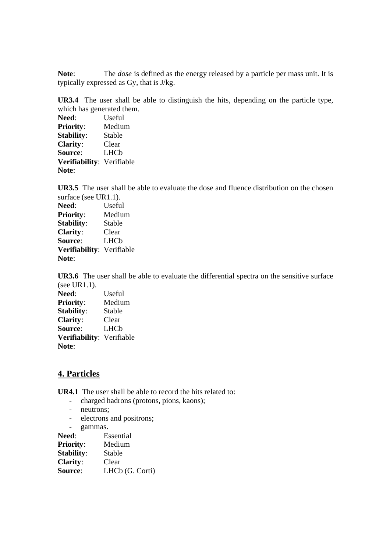**Note**: The *dose* is defined as the energy released by a particle per mass unit. It is typically expressed as Gy, that is J/kg.

**UR3.4** The user shall be able to distinguish the hits, depending on the particle type, which has generated them.

| Need:                     | Useful |
|---------------------------|--------|
| <b>Priority:</b>          | Medium |
| <b>Stability:</b>         | Stable |
| <b>Clarity:</b>           | Clear  |
| Source:                   | LHCb   |
| Verifiability: Verifiable |        |
| Note:                     |        |

**UR3.5** The user shall be able to evaluate the dose and fluence distribution on the chosen surface (see UR1.1).

**Need**: Useful **Priority**: Medium **Stability**: Stable **Clarity**: Clear **Source**: LHCb **Verifiability**: Verifiable **Note**:

**UR3.6** The user shall be able to evaluate the differential spectra on the sensitive surface (see UR1.1). **Need**: Useful **Priority**: Medium **Stability**: Stable **Clarity**: Clear **Source**: LHCb **Verifiability**: Verifiable **Note**:

#### **4. Particles**

**UR4.1** The user shall be able to record the hits related to:

- charged hadrons (protons, pions, kaons);
- neutrons;
- electrons and positrons;
- gammas.

| <b>Need:</b>      | Essential       |
|-------------------|-----------------|
| <b>Priority:</b>  | Medium          |
| <b>Stability:</b> | Stable          |
| <b>Clarity:</b>   | Clear           |
| Source:           | LHCb (G. Corti) |
|                   |                 |